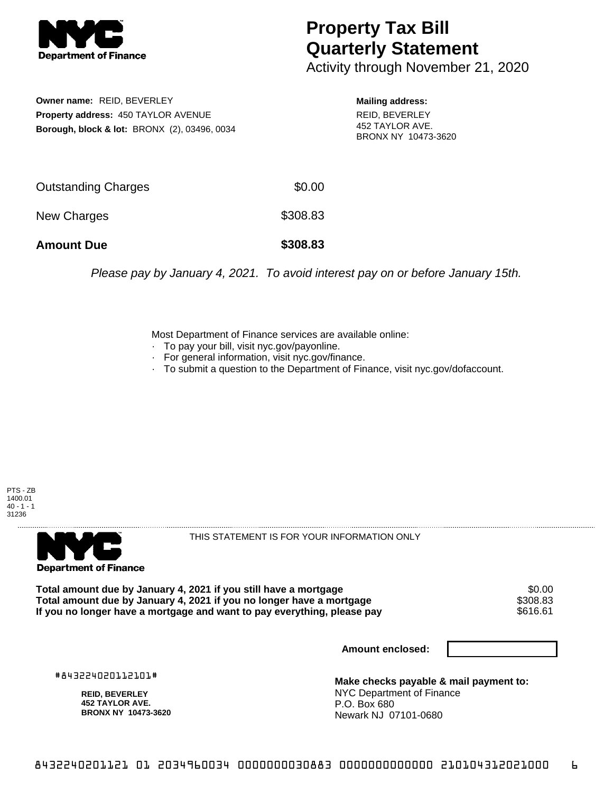

## **Property Tax Bill Quarterly Statement**

Activity through November 21, 2020

**Owner name:** REID, BEVERLEY **Property address:** 450 TAYLOR AVENUE **Borough, block & lot:** BRONX (2), 03496, 0034

**Mailing address:** REID, BEVERLEY 452 TAYLOR AVE. BRONX NY 10473-3620

| <b>Amount Due</b>          | \$308.83 |
|----------------------------|----------|
| New Charges                | \$308.83 |
| <b>Outstanding Charges</b> | \$0.00   |

Please pay by January 4, 2021. To avoid interest pay on or before January 15th.

Most Department of Finance services are available online:

- · To pay your bill, visit nyc.gov/payonline.
- For general information, visit nyc.gov/finance.
- · To submit a question to the Department of Finance, visit nyc.gov/dofaccount.





THIS STATEMENT IS FOR YOUR INFORMATION ONLY

**Total amount due by January 4, 2021 if you still have a mortgage**  $$0.00$ **<br>Total amount due by January 4, 2021 if you no longer have a mortgage**  $$308.83$ Total amount due by January 4, 2021 if you no longer have a mortgage **\$308.83**<br>If you no longer have a mortgage and want to pay everything, please pay If you no longer have a mortgage and want to pay everything, please pay

**Amount enclosed:**

#843224020112101#

**REID, BEVERLEY 452 TAYLOR AVE. BRONX NY 10473-3620**

**Make checks payable & mail payment to:** NYC Department of Finance P.O. Box 680 Newark NJ 07101-0680